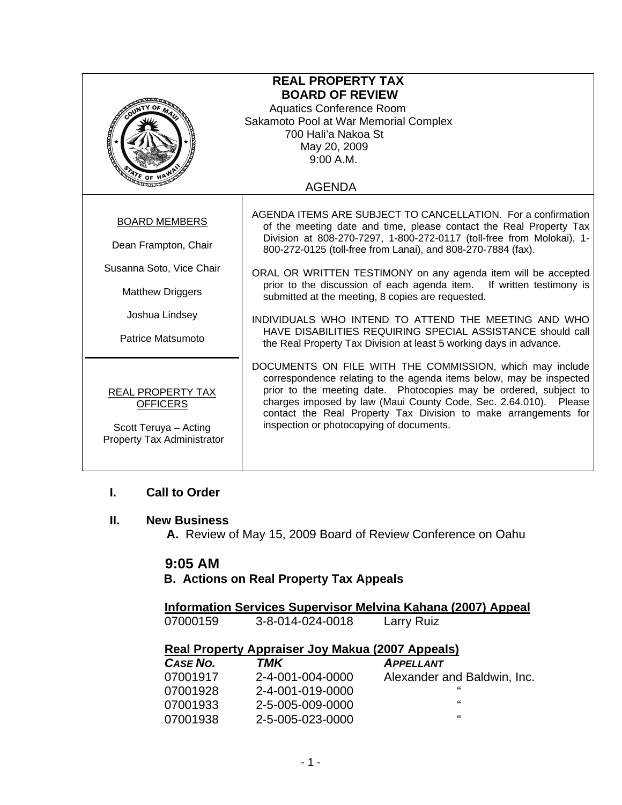| <b>REAL PROPERTY TAX</b><br><b>BOARD OF REVIEW</b><br><b>Aquatics Conference Room</b><br>Sakamoto Pool at War Memorial Complex<br>700 Hali'a Nakoa St<br>May 20, 2009<br>9:00 A.M.<br><u>ማ</u><br>የይነ of <u>ዞ</u><br><b>AGENDA</b> |                                                                                                                                                                                                                                                                                                                                                                                                                                                                                                                                                                                                                                                                          |  |
|------------------------------------------------------------------------------------------------------------------------------------------------------------------------------------------------------------------------------------|--------------------------------------------------------------------------------------------------------------------------------------------------------------------------------------------------------------------------------------------------------------------------------------------------------------------------------------------------------------------------------------------------------------------------------------------------------------------------------------------------------------------------------------------------------------------------------------------------------------------------------------------------------------------------|--|
| <b>BOARD MEMBERS</b><br>Dean Frampton, Chair<br>Susanna Soto, Vice Chair<br><b>Matthew Driggers</b><br>Joshua Lindsey<br>Patrice Matsumoto                                                                                         | AGENDA ITEMS ARE SUBJECT TO CANCELLATION. For a confirmation<br>of the meeting date and time, please contact the Real Property Tax<br>Division at 808-270-7297, 1-800-272-0117 (toll-free from Molokai), 1-<br>800-272-0125 (toll-free from Lanai), and 808-270-7884 (fax).<br>ORAL OR WRITTEN TESTIMONY on any agenda item will be accepted<br>prior to the discussion of each agenda item.<br>If written testimony is<br>submitted at the meeting, 8 copies are requested.<br>INDIVIDUALS WHO INTEND TO ATTEND THE MEETING AND WHO<br>HAVE DISABILITIES REQUIRING SPECIAL ASSISTANCE should call<br>the Real Property Tax Division at least 5 working days in advance. |  |
| <b>REAL PROPERTY TAX</b><br><b>OFFICERS</b><br>Scott Teruya - Acting<br>Property Tax Administrator                                                                                                                                 | DOCUMENTS ON FILE WITH THE COMMISSION, which may include<br>correspondence relating to the agenda items below, may be inspected<br>prior to the meeting date. Photocopies may be ordered, subject to<br>charges imposed by law (Maui County Code, Sec. 2.64.010). Please<br>contact the Real Property Tax Division to make arrangements for<br>inspection or photocopying of documents.                                                                                                                                                                                                                                                                                  |  |

#### **I. Call to Order**

### **II. New Business**

 **A.** Review of May 15, 2009 Board of Review Conference on Oahu

## **9:05 AM**

## **B. Actions on Real Property Tax Appeals**

 **Information Services Supervisor Melvina Kahana (2007) Appeal** 07000159 3-8-014-024-0018 Larry Ruiz

#### **Real Property Appraiser Joy Makua (2007 Appeals)**

| <b>CASE NO.</b> | TMK              | <b>APPELLANT</b>            |
|-----------------|------------------|-----------------------------|
| 07001917        | 2-4-001-004-0000 | Alexander and Baldwin, Inc. |
| 07001928        | 2-4-001-019-0000 | "                           |
| 07001933        | 2-5-005-009-0000 | "                           |
| 07001938        | 2-5-005-023-0000 | "                           |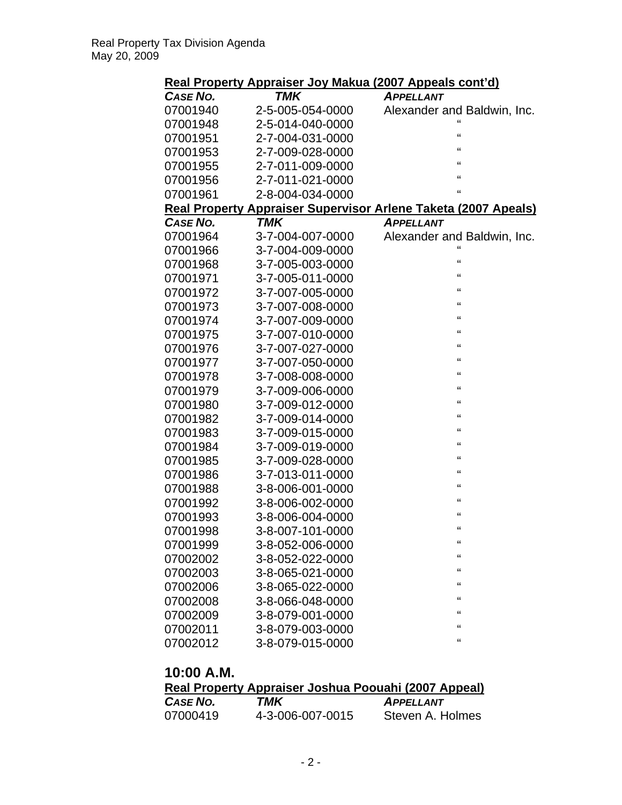## **Real Property Appraiser Joy Makua (2007 Appeals cont'd)**

| CASE NO.        | TMK              | <b>APPELLANT</b>                                               |
|-----------------|------------------|----------------------------------------------------------------|
| 07001940        | 2-5-005-054-0000 | Alexander and Baldwin, Inc.                                    |
| 07001948        | 2-5-014-040-0000 | $\mathbf{a}$                                                   |
| 07001951        | 2-7-004-031-0000 | "                                                              |
| 07001953        | 2-7-009-028-0000 | "                                                              |
| 07001955        | 2-7-011-009-0000 | "                                                              |
| 07001956        | 2-7-011-021-0000 | $\mathbf{g}$                                                   |
| 07001961        | 2-8-004-034-0000 | $\epsilon$                                                     |
|                 |                  | Real Property Appraiser Supervisor Arlene Taketa (2007 Apeals) |
| <b>CASE NO.</b> | <b>TMK</b>       | <b>APPELLANT</b>                                               |
| 07001964        | 3-7-004-007-0000 | Alexander and Baldwin, Inc.                                    |
| 07001966        | 3-7-004-009-0000 | $\mathbf{G}$                                                   |
| 07001968        | 3-7-005-003-0000 | "                                                              |
| 07001971        | 3-7-005-011-0000 | "                                                              |
| 07001972        | 3-7-007-005-0000 | "                                                              |
| 07001973        | 3-7-007-008-0000 | $\epsilon$                                                     |
| 07001974        | 3-7-007-009-0000 | $\epsilon$                                                     |
| 07001975        | 3-7-007-010-0000 | $\mathbf{g}$                                                   |
| 07001976        | 3-7-007-027-0000 | "                                                              |
| 07001977        | 3-7-007-050-0000 | "                                                              |
| 07001978        | 3-7-008-008-0000 | "                                                              |
| 07001979        | 3-7-009-006-0000 | $\epsilon$                                                     |
| 07001980        | 3-7-009-012-0000 | $\mathbf{g}$                                                   |
| 07001982        | 3-7-009-014-0000 | $\epsilon$                                                     |
| 07001983        | 3-7-009-015-0000 | "                                                              |
| 07001984        | 3-7-009-019-0000 | "                                                              |
| 07001985        | 3-7-009-028-0000 | $\mathbf{g}$                                                   |
| 07001986        | 3-7-013-011-0000 | "                                                              |
| 07001988        | 3-8-006-001-0000 | "                                                              |
| 07001992        | 3-8-006-002-0000 | "                                                              |
| 07001993        | 3-8-006-004-0000 | "                                                              |
| 07001998        | 3-8-007-101-0000 | $\mathbf{g}$                                                   |
| 07001999        | 3-8-052-006-0000 | "                                                              |
| 07002002        | 3-8-052-022-0000 | "                                                              |
| 07002003        | 3-8-065-021-0000 | "                                                              |
| 07002006        | 3-8-065-022-0000 | $\mathbf{f}$                                                   |
| 07002008        | 3-8-066-048-0000 | "                                                              |
| 07002009        | 3-8-079-001-0000 | "                                                              |
| 07002011        | 3-8-079-003-0000 | "                                                              |
| 07002012        | 3-8-079-015-0000 | "                                                              |

# **10:00 A.M.**

|                 |                  | Real Property Appraiser Joshua Poouahi (2007 Appeal) |
|-----------------|------------------|------------------------------------------------------|
| <b>CASE NO.</b> | TMK              | <b>APPELLANT</b>                                     |
| 07000419        | 4-3-006-007-0015 | Steven A. Holmes                                     |